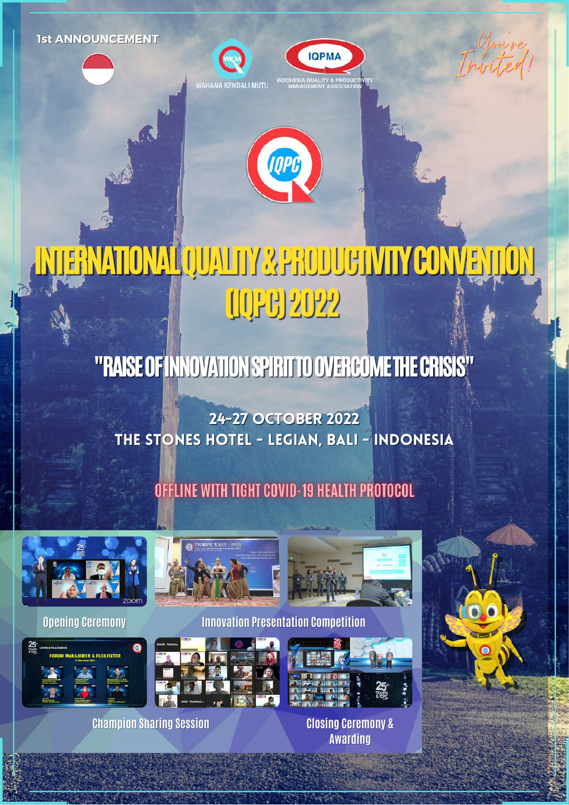**1st ANNOUNCEMENT**







# INTERNATIONALQUALITY&PRODUCTIVITYCONVENTION (IQPC)2022

# "RAISE OF INNOVATION SPIRITTO OVERCOME THE CRISIS"

24-27 OCTOBER 2022 THE STONES HOTEL - LEGIAN, Bali - Indonesia

# OFFLINE WITH TIGHT COVID-19 HEALTH PROTOCOL





**Champion Sharing Session Closing Ceremony &**



**Opening Ceremony Innovation Presentation Competition**





**Awarding**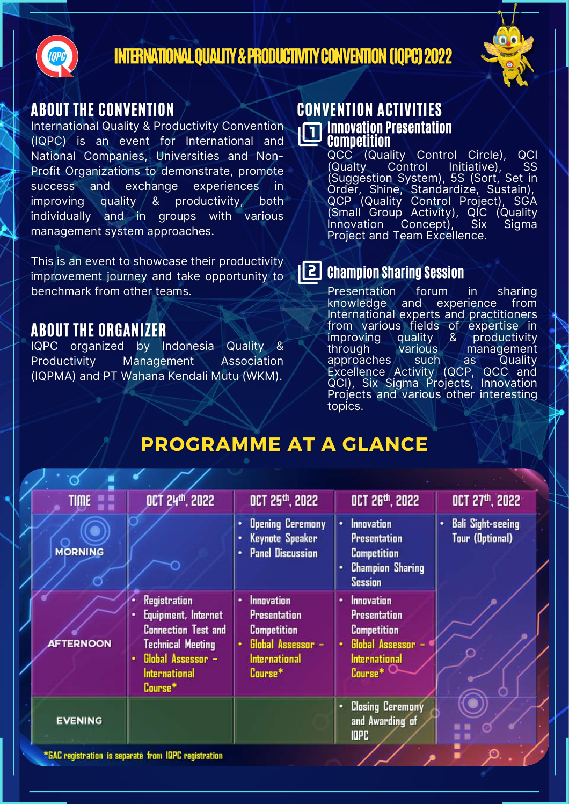

#### INTERNATIONAL QUALITY & PRODUCTIVITY CONVENTION (IQPC) 2022



#### ABOUT THE CONVENTION

International Quality & Productivity Convention (IQPC) is an event for International and National Companies, Universities and Non-Profit Organizations to demonstrate, promote success and exchange experiences in improving quality & productivity, both individually and in groups with various management system approaches.

This is an event to showcase their productivity improvement journey and take opportunity to benchmark from other teams.

#### ABOUT THE ORGANIZER

IQPC organized by Indonesia Quality & Productivity Management Association (IQPMA) and PT Wahana Kendali Mutu (WKM).

#### **Innovation Presentation** Competition CONVENTION ACTIVITIES

QCC (Quality Control Circle), QCI (Qualty Control Initiative), SS (Suggestion System), 5S (Sort, Set in Order, Shine, Standardize, Sustain), QCP (Quality Control Project), SGA (Small Group Activity), QIC (Quality Innovation Concept), Six Sigma Project and Team Excellence.

### **CE** Champion Sharing Session

Presentation forum in sharing<br>knowledge a<u>nd experience from</u> knowledge and International experts and practitioners from various fields of expertise in<br>improving quality & productivity improving quality & productivity<br>through various management through various management<br>approaches such as Quality approaches  $\setminus$  such as Quality Excellence Activity (QCP, QCC and QCI), Six Sigma Projects, Innovation Projects and various other interesting topics.

# **PROGRAMME AT A GLANCE**

| TIME <b>NEW</b>                                      | <b>OCT 24th, 2022</b>                                                                                                                                                  | OCT 25th, 2022                                                                                                              | OCT 26 <sup>th</sup> , 2022                                                                                                    | OCT 27th, 2022                                          |
|------------------------------------------------------|------------------------------------------------------------------------------------------------------------------------------------------------------------------------|-----------------------------------------------------------------------------------------------------------------------------|--------------------------------------------------------------------------------------------------------------------------------|---------------------------------------------------------|
| <b>MORNING</b>                                       |                                                                                                                                                                        | <b>Opening Ceremony</b><br>٠<br>Keynote Speaker<br><b>Panel Discussion</b>                                                  | <b>Innovation</b><br>٠<br><b>Presentation</b><br><b>Competition</b><br><b>Champion Sharing</b><br>٠<br><b>Session</b>          | <b>Bali Sight-seeing</b><br>٠<br><b>Tour (Optional)</b> |
| <b>AFTERNOON</b>                                     | <b>Registration</b><br>Equipment, Internet<br>٠<br><b>Connection Test and</b><br><b>Technical Meeting</b><br>Global Assessor -<br>۰<br><b>International</b><br>Course* | <b>Innovation</b><br>٠<br><b>Presentation</b><br><b>Competition</b><br>Global Assessor -<br><b>International</b><br>Course* | <b>Innovation</b><br>٠<br><b>Presentation</b><br><b>Competition</b><br>Global Assessor<br>٠<br><b>International</b><br>Course* |                                                         |
| <b>EVENING</b>                                       |                                                                                                                                                                        |                                                                                                                             | <b>Closing Ceremony</b><br>٠<br>and Awarding of<br><b>IDPC</b>                                                                 | ■■                                                      |
| *GAC registration is separate from IQPC registration |                                                                                                                                                                        |                                                                                                                             |                                                                                                                                |                                                         |